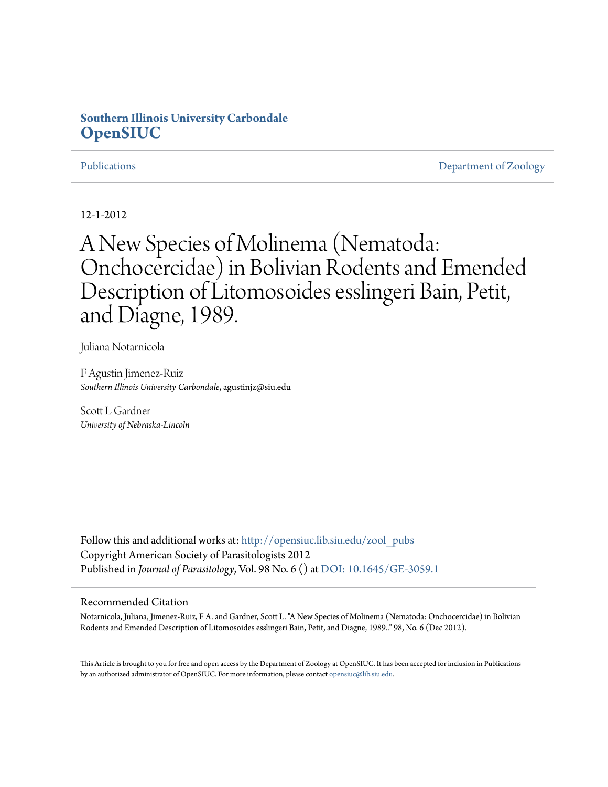## **Southern Illinois University Carbondale [OpenSIUC](http://opensiuc.lib.siu.edu?utm_source=opensiuc.lib.siu.edu%2Fzool_pubs%2F59&utm_medium=PDF&utm_campaign=PDFCoverPages)**

[Publications](http://opensiuc.lib.siu.edu/zool_pubs?utm_source=opensiuc.lib.siu.edu%2Fzool_pubs%2F59&utm_medium=PDF&utm_campaign=PDFCoverPages) **[Department of Zoology](http://opensiuc.lib.siu.edu/zool?utm_source=opensiuc.lib.siu.edu%2Fzool_pubs%2F59&utm_medium=PDF&utm_campaign=PDFCoverPages)** 

12-1-2012

# A New Species of Molinema (Nematoda: Onchocercidae) in Bolivian Rodents and Emended Description of Litomosoides esslingeri Bain, Petit, and Diagne, 1989.

Juliana Notarnicola

F Agustin Jimenez-Ruiz *Southern Illinois University Carbondale*, agustinjz@siu.edu

Scott L Gardner *University of Nebraska-Lincoln*

Follow this and additional works at: [http://opensiuc.lib.siu.edu/zool\\_pubs](http://opensiuc.lib.siu.edu/zool_pubs?utm_source=opensiuc.lib.siu.edu%2Fzool_pubs%2F59&utm_medium=PDF&utm_campaign=PDFCoverPages) Copyright American Society of Parasitologists 2012 Published in *Journal of Parasitology*, Vol. 98 No. 6 () at [DOI: 10.1645/GE-3059.1](http://dx.doi.org/10.1645/GE-3059.1)

### Recommended Citation

Notarnicola, Juliana, Jimenez-Ruiz, F A. and Gardner, Scott L. "A New Species of Molinema (Nematoda: Onchocercidae) in Bolivian Rodents and Emended Description of Litomosoides esslingeri Bain, Petit, and Diagne, 1989.." 98, No. 6 (Dec 2012).

This Article is brought to you for free and open access by the Department of Zoology at OpenSIUC. It has been accepted for inclusion in Publications by an authorized administrator of OpenSIUC. For more information, please contact [opensiuc@lib.siu.edu.](mailto:opensiuc@lib.siu.edu)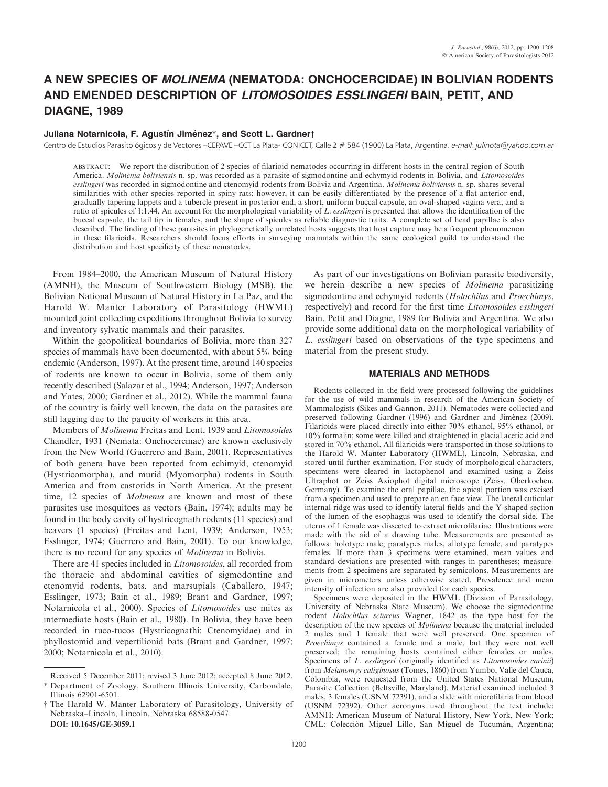## A NEW SPECIES OF MOLINEMA (NEMATODA: ONCHOCERCIDAE) IN BOLIVIAN RODENTS AND EMENDED DESCRIPTION OF LITOMOSOIDES ESSLINGERI BAIN, PETIT, AND DIAGNE, 1989

#### Juliana Notarnicola, F. Agustín Jiménez\*, and Scott L. Gardner†

Centro de Estudios Parasitológicos y de Vectores –CEPAVE –CCT La Plata- CONICET, Calle 2 # 584 (1900) La Plata, Argentina. e-mail: julinota@yahoo.com.ar

ABSTRACT: We report the distribution of 2 species of filarioid nematodes occurring in different hosts in the central region of South America. Molinema boliviensis n. sp. was recorded as a parasite of sigmodontine and echymyid rodents in Bolivia, and Litomosoides esslingeri was recorded in sigmodontine and ctenomyid rodents from Bolivia and Argentina. Molinema boliviensis n. sp. shares several similarities with other species reported in spiny rats; however, it can be easily differentiated by the presence of a flat anterior end, gradually tapering lappets and a tubercle present in posterior end, a short, uniform buccal capsule, an oval-shaped vagina vera, and a ratio of spicules of 1:1.44. An account for the morphological variability of L. esslingeri is presented that allows the identification of the buccal capsule, the tail tip in females, and the shape of spicules as reliable diagnostic traits. A complete set of head papillae is also described. The finding of these parasites in phylogenetically unrelated hosts suggests that host capture may be a frequent phenomenon in these filarioids. Researchers should focus efforts in surveying mammals within the same ecological guild to understand the distribution and host specificity of these nematodes.

From 1984–2000, the American Museum of Natural History (AMNH), the Museum of Southwestern Biology (MSB), the Bolivian National Museum of Natural History in La Paz, and the Harold W. Manter Laboratory of Parasitology (HWML) mounted joint collecting expeditions throughout Bolivia to survey and inventory sylvatic mammals and their parasites.

Within the geopolitical boundaries of Bolivia, more than 327 species of mammals have been documented, with about 5% being endemic (Anderson, 1997). At the present time, around 140 species of rodents are known to occur in Bolivia, some of them only recently described (Salazar et al., 1994; Anderson, 1997; Anderson and Yates, 2000; Gardner et al., 2012). While the mammal fauna of the country is fairly well known, the data on the parasites are still lagging due to the paucity of workers in this area.

Members of Molinema Freitas and Lent, 1939 and Litomosoides Chandler, 1931 (Nemata: Onchocercinae) are known exclusively from the New World (Guerrero and Bain, 2001). Representatives of both genera have been reported from echimyid, ctenomyid (Hystricomorpha), and murid (Myomorpha) rodents in South America and from castorids in North America. At the present time, 12 species of Molinema are known and most of these parasites use mosquitoes as vectors (Bain, 1974); adults may be found in the body cavity of hystricognath rodents (11 species) and beavers (1 species) (Freitas and Lent, 1939; Anderson, 1953; Esslinger, 1974; Guerrero and Bain, 2001). To our knowledge, there is no record for any species of Molinema in Bolivia.

There are 41 species included in *Litomosoides*, all recorded from the thoracic and abdominal cavities of sigmodontine and ctenomyid rodents, bats, and marsupials (Caballero, 1947; Esslinger, 1973; Bain et al., 1989; Brant and Gardner, 1997; Notarnicola et al., 2000). Species of Litomosoides use mites as intermediate hosts (Bain et al., 1980). In Bolivia, they have been recorded in tuco-tucos (Hystricognathi: Ctenomyidae) and in phyllostomid and vepertilionid bats (Brant and Gardner, 1997; 2000; Notarnicola et al., 2010).

As part of our investigations on Bolivian parasite biodiversity, we herein describe a new species of Molinema parasitizing sigmodontine and echymyid rodents (Holochilus and Proechimys, respectively) and record for the first time Litomosoides esslingeri Bain, Petit and Diagne, 1989 for Bolivia and Argentina. We also provide some additional data on the morphological variability of L. esslingeri based on observations of the type specimens and material from the present study.

#### MATERIALS AND METHODS

Rodents collected in the field were processed following the guidelines for the use of wild mammals in research of the American Society of Mammalogists (Sikes and Gannon, 2011). Nematodes were collected and preserved following Gardner (1996) and Gardner and Jiménez (2009). Filarioids were placed directly into either 70% ethanol, 95% ethanol, or 10% formalin; some were killed and straightened in glacial acetic acid and stored in 70% ethanol. All filarioids were transported in those solutions to the Harold W. Manter Laboratory (HWML), Lincoln, Nebraska, and stored until further examination. For study of morphological characters, specimens were cleared in lactophenol and examined using a Zeiss Ultraphot or Zeiss Axiophot digital microscope (Zeiss, Oberkochen, Germany). To examine the oral papillae, the apical portion was excised from a specimen and used to prepare an en face view. The lateral cuticular internal ridge was used to identify lateral fields and the Y-shaped section of the lumen of the esophagus was used to identify the dorsal side. The uterus of 1 female was dissected to extract microfilariae. Illustrations were made with the aid of a drawing tube. Measurements are presented as follows: holotype male; paratypes males, allotype female, and paratypes females. If more than 3 specimens were examined, mean values and standard deviations are presented with ranges in parentheses; measurements from 2 specimens are separated by semicolons. Measurements are given in micrometers unless otherwise stated. Prevalence and mean intensity of infection are also provided for each species.

Specimens were deposited in the HWML (Division of Parasitology, University of Nebraska State Museum). We choose the sigmodontine rodent Holochilus sciureus Wagner, 1842 as the type host for the description of the new species of Molinema because the material included 2 males and 1 female that were well preserved. One specimen of Proechimys contained a female and a male, but they were not well preserved; the remaining hosts contained either females or males. Specimens of L. esslingeri (originally identified as Litomosoides carinii) from Melanomys caliginosus (Tomes, 1860) from Yumbo, Valle del Cauca, Colombia, were requested from the United States National Museum, Parasite Collection (Beltsville, Maryland). Material examined included 3 males, 3 females (USNM 72391), and a slide with microfilaria from blood (USNM 72392). Other acronyms used throughout the text include: AMNH: American Museum of Natural History, New York, New York; CML: Colección Miguel Lillo, San Miguel de Tucumán, Argentina;

Received 5 December 2011; revised 3 June 2012; accepted 8 June 2012. \* Department of Zoology, Southern Illinois University, Carbondale, Illinois 62901-6501.

<sup>†</sup> The Harold W. Manter Laboratory of Parasitology, University of Nebraska–Lincoln, Lincoln, Nebraska 68588-0547. DOI: 10.1645/GE-3059.1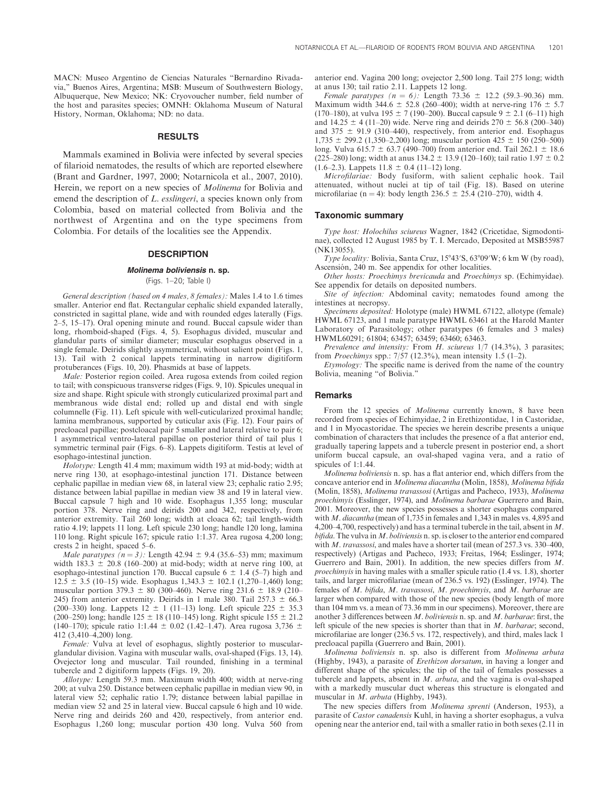MACN: Museo Argentino de Ciencias Naturales ''Bernardino Rivadavia,'' Buenos Aires, Argentina; MSB: Museum of Southwestern Biology, Albuquerque, New Mexico; NK: Cryovoucher number, field number of the host and parasites species; OMNH: Oklahoma Museum of Natural History, Norman, Oklahoma; ND: no data.

#### RESULTS

Mammals examined in Bolivia were infected by several species of filarioid nematodes, the results of which are reported elsewhere (Brant and Gardner, 1997, 2000; Notarnicola et al., 2007, 2010). Herein, we report on a new species of *Molinema* for Bolivia and emend the description of L. esslingeri, a species known only from Colombia, based on material collected from Bolivia and the northwest of Argentina and on the type specimens from Colombia. For details of the localities see the Appendix.

#### **DESCRIPTION**

#### Molinema boliviensis n. sp.

(Figs. 1–20; Table I)

General description (based on 4 males, 8 females): Males 1.4 to 1.6 times smaller. Anterior end flat. Rectangular cephalic shield expanded laterally, constricted in sagittal plane, wide and with rounded edges laterally (Figs. 2–5, 15–17). Oral opening minute and round. Buccal capsule wider than long, rhomboid-shaped (Figs. 4, 5). Esophagus divided, muscular and glandular parts of similar diameter; muscular esophagus observed in a single female. Deirids slightly asymmetrical, without salient point (Figs. 1, 13). Tail with 2 conical lappets terminating in narrow digitiform protuberances (Figs. 10, 20). Phasmids at base of lappets.

Male: Posterior region coiled. Area rugosa extends from coiled region to tail; with conspicuous transverse ridges (Figs. 9, 10). Spicules unequal in size and shape. Right spicule with strongly cuticularized proximal part and membranous wide distal end; rolled up and distal end with single columnelle (Fig. 11). Left spicule with well-cuticularized proximal handle; lamina membranous, supported by cuticular axis (Fig. 12). Four pairs of precloacal papillae; postcloacal pair 5 smaller and lateral relative to pair 6; 1 asymmetrical ventro-lateral papillae on posterior third of tail plus 1 symmetric terminal pair (Figs. 6–8). Lappets digitiform. Testis at level of esophago-intestinal junction.

Holotype: Length 41.4 mm; maximum width 193 at mid-body; width at nerve ring 130, at esophago-intestinal junction 171. Distance between cephalic papillae in median view 68, in lateral view 23; cephalic ratio 2.95; distance between labial papillae in median view 38 and 19 in lateral view. Buccal capsule 7 high and 10 wide. Esophagus 1,355 long; muscular portion 378. Nerve ring and deirids 200 and 342, respectively, from anterior extremity. Tail 260 long; width at cloaca 62; tail length-width ratio 4.19; lappets 11 long. Left spicule 230 long; handle 120 long, lamina 110 long. Right spicule 167; spicule ratio 1:1.37. Area rugosa 4,200 long; crests 2 in height, spaced 5–6.

Male paratypes ( $n = 3$ ): Length 42.94  $\pm$  9.4 (35.6–53) mm; maximum width 183.3  $\pm$  20.8 (160–200) at mid-body; width at nerve ring 100, at esophago-intestinal junction 170. Buccal capsule 6  $\pm$  1.4 (5–7) high and  $12.5 \pm 3.5$  (10–15) wide. Esophagus 1,343.3  $\pm$  102.1 (1,270–1,460) long; muscular portion 379.3  $\pm$  80 (300–460). Nerve ring 231.6  $\pm$  18.9 (210– 245) from anterior extremity. Deirids in 1 male 380. Tail  $257.3 \pm 66.3$ (200–330) long. Lappets  $12 \pm 1$  (11–13) long. Left spicule 225  $\pm$  35.3 (200–250) long; handle  $125 \pm 18$  (110–145) long. Right spicule  $155 \pm 21.2$ (140–170); spicule ratio 1:1.44  $\pm$  0.02 (1.42–1.47). Area rugosa 3,736  $\pm$ 412 (3,410–4,200) long.

Female: Vulva at level of esophagus, slightly posterior to muscularglandular division. Vagina with muscular walls, oval-shaped (Figs. 13, 14). Ovejector long and muscular. Tail rounded, finishing in a terminal tubercle and 2 digitiform lappets (Figs. 19, 20).

Allotype: Length 59.3 mm. Maximum width 400; width at nerve-ring 200; at vulva 250. Distance between cephalic papillae in median view 90, in lateral view 52; cephalic ratio 1.79; distance between labial papillae in median view 52 and 25 in lateral view. Buccal capsule 6 high and 10 wide. Nerve ring and deirids 260 and 420, respectively, from anterior end. Esophagus 1,260 long; muscular portion 430 long. Vulva 560 from anterior end. Vagina 200 long; ovejector 2,500 long. Tail 275 long; width at anus 130; tail ratio 2.11. Lappets 12 long.

Female paratypes  $(n = 6)$ : Length 73.36  $\pm$  12.2 (59.3–90.36) mm. Maximum width 344.6  $\pm$  52.8 (260–400); width at nerve-ring 176  $\pm$  5.7 (170–180), at vulva 195  $\pm$  7 (190–200). Buccal capsule 9  $\pm$  2.1 (6–11) high and  $14.25 \pm 4$  (11–20) wide. Nerve ring and deirids  $270 \pm 56.8$  (200–340) and  $375 \pm 91.9$  (310–440), respectively, from anterior end. Esophagus  $1,735 \pm 299.2$  (1,350–2,200) long; muscular portion 425  $\pm$  150 (250–500) long. Vulva 615.7  $\pm$  63.7 (490–700) from anterior end. Tail 262.1  $\pm$  18.6 (225–280) long; width at anus 134.2  $\pm$  13.9 (120–160); tail ratio 1.97  $\pm$  0.2 (1.6–2.3). Lappets  $11.8 \pm 0.4$  (11–12) long.

Microfilariae: Body fusiform, with salient cephalic hook. Tail attenuated, without nuclei at tip of tail (Fig. 18). Based on uterine microfilariae (n = 4): body length 236.5  $\pm$  25.4 (210–270), width 4.

#### Taxonomic summary

Type host: Holochilus sciureus Wagner, 1842 (Cricetidae, Sigmodontinae), collected 12 August 1985 by T. I. Mercado, Deposited at MSB55987 (NK13055).

Type locality: Bolivia, Santa Cruz, 15°43'S, 63°09'W; 6 km W (by road), Ascensión, 240 m. See appendix for other localities.

Other hosts: Proechimys brevicauda and Proechimys sp. (Echimyidae). See appendix for details on deposited numbers.

Site of infection: Abdominal cavity; nematodes found among the intestines at necropsy.

Specimens deposited: Holotype (male) HWML 67122, allotype (female) HWML 67123, and 1 male paratype HWML 63461 at the Harold Manter Laboratory of Parasitology; other paratypes (6 females and 3 males) HWML60291; 61804; 63457; 63459; 63460; 63463.

Prevalence and intensity: From H. sciureus 1/7 (14.3%), 3 parasites; from Proechimys spp.: 7/57 (12.3%), mean intensity 1.5 (1–2).

Etymology: The specific name is derived from the name of the country Bolivia, meaning ''of Bolivia.''

#### Remarks

From the 12 species of Molinema currently known, 8 have been recorded from species of Echimyidae, 2 in Erethizontidae, 1 in Castoridae, and 1 in Myocastoridae. The species we herein describe presents a unique combination of characters that includes the presence of a flat anterior end, gradually tapering lappets and a tubercle present in posterior end, a short uniform buccal capsule, an oval-shaped vagina vera, and a ratio of spicules of 1:1.44.

Molinema boliviensis n. sp. has a flat anterior end, which differs from the concave anterior end in Molinema diacantha (Molin, 1858), Molinema bifida (Molin, 1858), Molinema travassosi (Artigas and Pacheco, 1933), Molinema proechimyis (Esslinger, 1974), and Molinema barbarae Guerrero and Bain, 2001. Moreover, the new species possesses a shorter esophagus compared with M. diacantha (mean of 1,735 in females and 1,343 in males vs. 4,895 and 4,200–4,700, respectively) and has a terminal tubercle in the tail, absent in  $M$ . *bifida*. The vulva in *M*. *boliviensis* n. sp. is closer to the anterior end compared with M. travassosi, and males have a shorter tail (mean of 257.3 vs. 330–400, respectively) (Artigas and Pacheco, 1933; Freitas, 1964; Esslinger, 1974; Guerrero and Bain, 2001). In addition, the new species differs from M. proechimyis in having males with a smaller spicule ratio (1.4 vs. 1.8), shorter tails, and larger microfilariae (mean of 236.5 vs. 192) (Esslinger, 1974). The females of M. bifida, M. travassosi, M. proechimyis, and M. barbarae are larger when compared with those of the new species (body length of more than 104 mm vs. a mean of 73.36 mm in our specimens). Moreover, there are another 3 differences between M. boliviensis n. sp. and M. barbarae: first, the left spicule of the new species is shorter than that in M. barbarae; second, microfilariae are longer (236.5 vs. 172, respectively), and third, males lack 1 precloacal papilla (Guerrero and Bain, 2001).

Molinema boliviensis n. sp. also is different from Molinema arbuta (Highby, 1943), a parasite of Erethizon dorsatum, in having a longer and different shape of the spicules; the tip of the tail of females possesses a tubercle and lappets, absent in M. arbuta, and the vagina is oval-shaped with a markedly muscular duct whereas this structure is elongated and muscular in M. arbuta (Highby, 1943).

The new species differs from Molinema sprenti (Anderson, 1953), a parasite of Castor canadensis Kuhl, in having a shorter esophagus, a vulva opening near the anterior end, tail with a smaller ratio in both sexes (2.11 in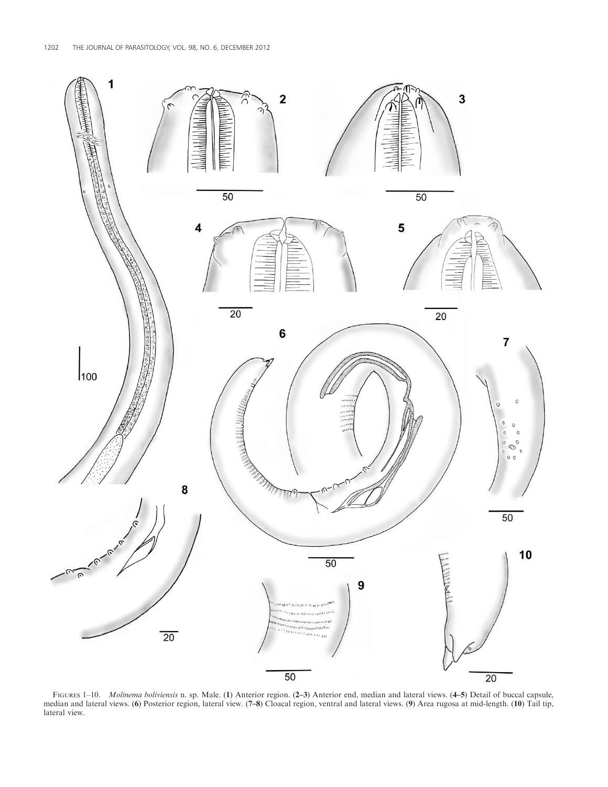

FIGURES 1-10. Molinema boliviensis n. sp. Male. (1) Anterior region. (2-3) Anterior end, median and lateral views. (4-5) Detail of buccal capsule, median and lateral views. (6) Posterior region, lateral view. (7–8) Cloacal region, ventral and lateral views. (9) Area rugosa at mid-length. (10) Tail tip, lateral view.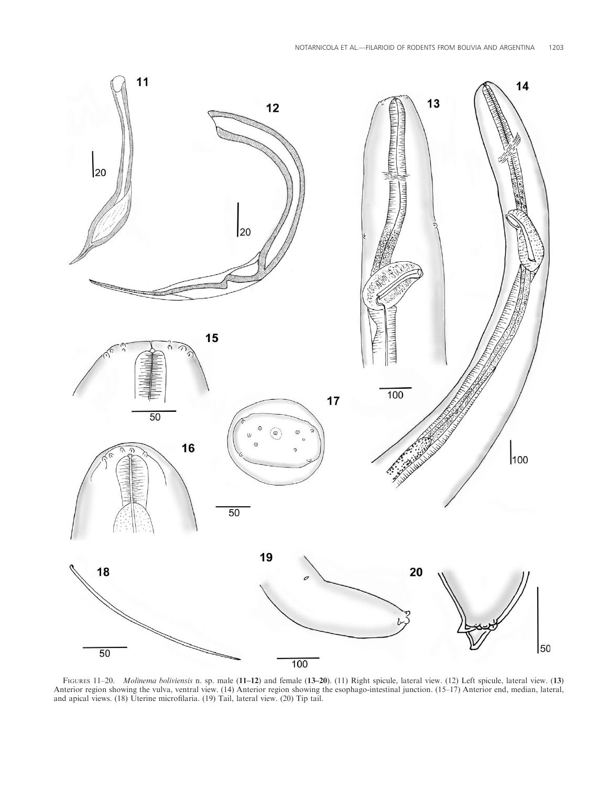

FIGURES 11–20. Molinema boliviensis n. sp. male (11–12) and female (13–20). (11) Right spicule, lateral view. (12) Left spicule, lateral view. (13) Anterior region showing the vulva, ventral view. (14) Anterior region showing the esophago-intestinal junction. (15–17) Anterior end, median, lateral, and apical views. (18) Uterine microfilaria. (19) Tail, lateral view. (20) Tip tail.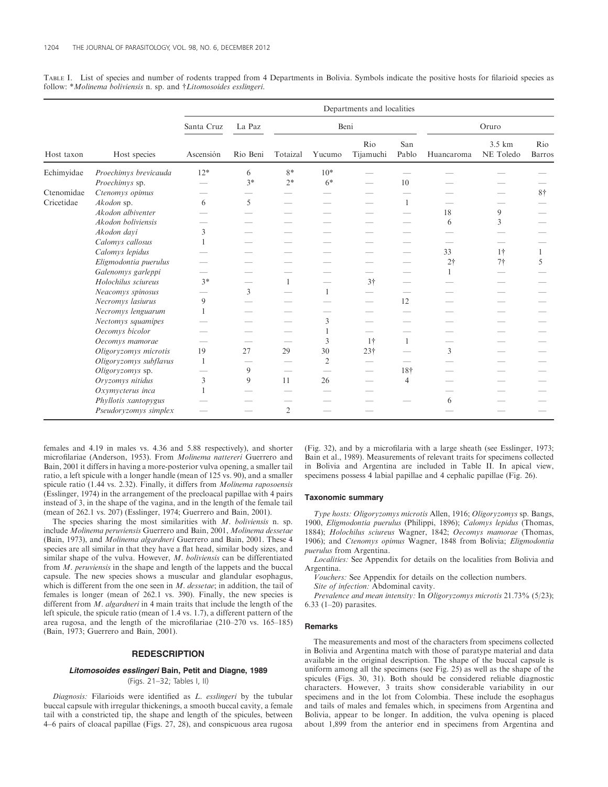|            | Host species           | Departments and localities |                    |                |                |                          |              |            |                     |               |
|------------|------------------------|----------------------------|--------------------|----------------|----------------|--------------------------|--------------|------------|---------------------|---------------|
| Host taxon |                        | Santa Cruz<br>Ascensión    | La Paz<br>Rio Beni | Beni           |                |                          |              | Oruro      |                     |               |
|            |                        |                            |                    | Totaizal       | Yucumo         | Rio<br>Tijamuchi         | San<br>Pablo | Huancaroma | 3.5 km<br>NE Toledo | Rio<br>Barros |
| Echimyidae | Proechimys brevicauda  | $12*$                      | 6                  | $8*$           | $10*$          |                          |              |            |                     |               |
|            | Proechimys sp.         |                            | $3*$               | $2*$           | $6*$           |                          | 10           |            |                     |               |
| Ctenomidae | Ctenomys opimus        |                            |                    |                |                |                          |              |            |                     | $8+$          |
| Cricetidae | Akodon sp.             | 6                          | 5                  |                |                |                          | $\mathbf{1}$ |            |                     |               |
|            | Akodon albiventer      |                            |                    |                |                |                          |              | 18         | 9                   |               |
|            | Akodon boliviensis     |                            |                    |                |                |                          |              | 6          | 3                   |               |
|            | Akodon davi            | 3                          |                    |                |                |                          |              |            |                     |               |
|            | Calomys callosus       |                            |                    |                |                |                          |              |            |                     |               |
|            | Calomys lepidus        |                            |                    |                |                |                          |              | 33         | 1 <sup>†</sup>      | 1             |
|            | Eligmodontia puerulus  |                            |                    |                |                |                          |              | $2\dagger$ | 7†                  | 5             |
|            | Galenomys garleppi     |                            |                    |                |                |                          |              | 1          |                     |               |
|            | Holochilus sciureus    | $3*$                       |                    | $\mathbf{1}$   |                | 3 <sup>†</sup>           |              |            |                     |               |
|            | Neacomys spinosus      |                            | 3                  |                | $\mathbf{1}$   |                          |              |            |                     |               |
|            | Necromys lasiurus      | 9                          |                    |                |                |                          | 12           |            |                     |               |
|            | Necromys lenguarum     |                            |                    |                |                |                          |              |            |                     |               |
|            | Nectomys squamipes     |                            |                    |                | 3              |                          |              |            |                     |               |
|            | Oecomys bicolor        |                            |                    |                |                |                          |              |            |                     |               |
|            | Oecomys mamorae        |                            |                    |                | 3              | $1+$                     | 1            |            |                     |               |
|            | Oligoryzomys microtis  | 19                         | 27                 | 29             | 30             | 23 <sup>†</sup>          |              | 3          |                     |               |
|            | Oligoryzomys subflavus | 1                          |                    |                | $\overline{2}$ |                          |              |            |                     |               |
|            | Oligoryzomys sp.       |                            | 9                  |                |                |                          | 18†          |            |                     |               |
|            | Oryzomys nitidus       | 3                          | 9                  | 11             | 26             | $\overline{\phantom{a}}$ | 4            |            |                     |               |
|            | Oxymycterus inca       |                            |                    |                |                |                          |              |            |                     |               |
|            | Phyllotis xantopygus   |                            |                    |                |                |                          |              | 6          |                     |               |
|            | Pseudoryzomys simplex  |                            |                    | $\overline{2}$ |                |                          |              |            |                     |               |

TABLE I. List of species and number of rodents trapped from 4 Departments in Bolivia. Symbols indicate the positive hosts for filarioid species as follow: \*Molinema boliviensis n. sp. and †Litomosoides esslingeri.

females and 4.19 in males vs. 4.36 and 5.88 respectively), and shorter microfilariae (Anderson, 1953). From Molinema nattereri Guerrero and Bain, 2001 it differs in having a more-posterior vulva opening, a smaller tail ratio, a left spicule with a longer handle (mean of 125 vs. 90), and a smaller spicule ratio (1.44 vs. 2.32). Finally, it differs from Molinema raposoensis (Esslinger, 1974) in the arrangement of the precloacal papillae with 4 pairs instead of 3, in the shape of the vagina, and in the length of the female tail (mean of 262.1 vs. 207) (Esslinger, 1974; Guerrero and Bain, 2001).

The species sharing the most similarities with  $M$ . boliviensis n. sp. include Molinema peruviensis Guerrero and Bain, 2001, Molinema dessetae (Bain, 1973), and Molinema algardneri Guerrero and Bain, 2001. These 4 species are all similar in that they have a flat head, similar body sizes, and similar shape of the vulva. However, M. boliviensis can be differentiated from M. peruviensis in the shape and length of the lappets and the buccal capsule. The new species shows a muscular and glandular esophagus, which is different from the one seen in  $M$ . dessetae; in addition, the tail of females is longer (mean of 262.1 vs. 390). Finally, the new species is different from  $M$ . *algardneri* in 4 main traits that include the length of the left spicule, the spicule ratio (mean of 1.4 vs. 1.7), a different pattern of the area rugosa, and the length of the microfilariae (210–270 vs. 165–185) (Bain, 1973; Guerrero and Bain, 2001).

#### **REDESCRIPTION**

#### Litomosoides esslingeri Bain, Petit and Diagne, 1989 (Figs. 21–32; Tables I, II)

Diagnosis: Filarioids were identified as *L. esslingeri* by the tubular buccal capsule with irregular thickenings, a smooth buccal cavity, a female tail with a constricted tip, the shape and length of the spicules, between 4-6 pairs of cloacal papillae (Figs. 27, 28), and conspicuous area rugosa

(Fig. 32), and by a microfilaria with a large sheath (see Esslinger, 1973; Bain et al., 1989). Measurements of relevant traits for specimens collected in Bolivia and Argentina are included in Table II. In apical view, specimens possess 4 labial papillae and 4 cephalic papillae (Fig. 26).

#### Taxonomic summary

Type hosts: Oligoryzomys microtis Allen, 1916; Oligoryzomys sp. Bangs, 1900, Eligmodontia puerulus (Philippi, 1896); Calomys lepidus (Thomas, 1884); Holochilus sciureus Wagner, 1842; Oecomys mamorae (Thomas, 1906); and Ctenomys opimus Wagner, 1848 from Bolivia; Eligmodontia puerulus from Argentina.

Localities: See Appendix for details on the localities from Bolivia and Argentina.

Vouchers: See Appendix for details on the collection numbers.

Site of infection: Abdominal cavity.

Prevalence and mean intensity: In Oligoryzomys microtis 21.73% (5/23); 6.33 (1–20) parasites.

#### Remarks

The measurements and most of the characters from specimens collected in Bolivia and Argentina match with those of paratype material and data available in the original description. The shape of the buccal capsule is uniform among all the specimens (see Fig. 25) as well as the shape of the spicules (Figs. 30, 31). Both should be considered reliable diagnostic characters. However, 3 traits show considerable variability in our specimens and in the lot from Colombia. These include the esophagus and tails of males and females which, in specimens from Argentina and Bolivia, appear to be longer. In addition, the vulva opening is placed about 1,899 from the anterior end in specimens from Argentina and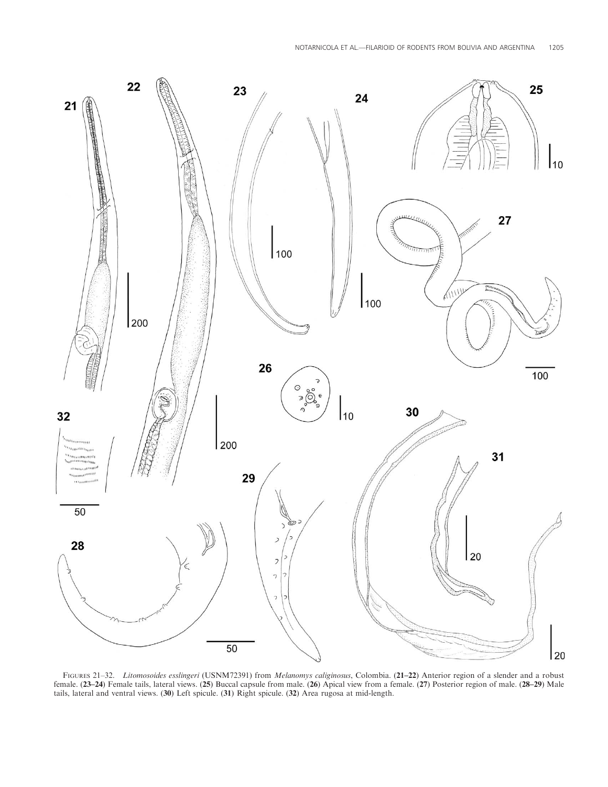

FIGURES 21–32. Litomosoides esslingeri (USNM72391) from Melanomys caliginosus, Colombia. (21–22) Anterior region of a slender and a robust female. (23–24) Female tails, lateral views. (25) Buccal capsule from male. (26) Apical view from a female. (27) Posterior region of male. (28–29) Male tails, lateral and ventral views. (30) Left spicule. (31) Right spicule. (32) Area rugosa at mid-length.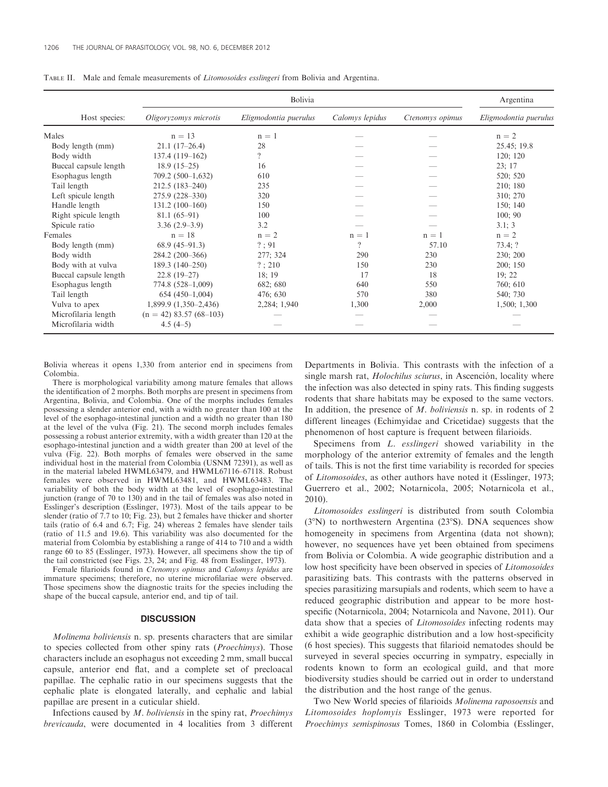|                       |                           | Argentina             |                 |                 |                       |
|-----------------------|---------------------------|-----------------------|-----------------|-----------------|-----------------------|
| Host species:         | Oligoryzomys microtis     | Eligmodontia puerulus | Calomys lepidus | Ctenomys opimus | Eligmodontia puerulus |
| Males                 | $n = 13$                  | $n = 1$               |                 |                 | $n = 2$               |
| Body length (mm)      | $21.1(17-26.4)$           | 28                    |                 |                 | 25.45; 19.8           |
| Body width            | $137.4(119-162)$          | $\overline{?}$        |                 |                 | 120; 120              |
| Buccal capsule length | $18.9(15-25)$             | 16                    |                 |                 | 23; 17                |
| Esophagus length      | 709.2 (500-1,632)         | 610                   |                 |                 | 520; 520              |
| Tail length           | $212.5(183 - 240)$        | 235                   |                 |                 | 210; 180              |
| Left spicule length   | 275.9 (228-330)           | 320                   |                 |                 | 310; 270              |
| Handle length         | $131.2(100-160)$          | 150                   |                 |                 | 150; 140              |
| Right spicule length  | $81.1(65-91)$             | 100                   |                 |                 | 100; 90               |
| Spicule ratio         | $3.36(2.9-3.9)$           | 3.2                   |                 |                 | 3.1; 3                |
| Females               | $n = 18$                  | $n = 2$               | $n = 1$         | $n = 1$         | $n = 2$               |
| Body length (mm)      | $68.9(45-91.3)$           | $?$ ; 91              | $\gamma$        | 57.10           | 73.4; ?               |
| Body width            | 284.2 (200-366)           | 277; 324              | 290             | 230             | 230; 200              |
| Body with at vulva    | $189.3(140-250)$          | $?$ ; 210             | 150             | 230             | 200; 150              |
| Buccal capsule length | $22.8(19-27)$             | 18; 19                | 17              | 18              | 19; 22                |
| Esophagus length      | $774.8(528-1,009)$        | 682; 680              | 640             | 550             | 760; 610              |
| Tail length           | $654(450-1,004)$          | 476;630               | 570             | 380             | 540; 730              |
| Vulva to apex         | $1,899.9(1,350-2,436)$    | 2,284; 1,940          | 1,300           | 2,000           | 1,500; 1,300          |
| Microfilaria length   | $(n = 42)$ 83.57 (68-103) |                       |                 |                 |                       |
| Microfilaria width    | $4.5(4-5)$                |                       |                 |                 |                       |

TABLE II. Male and female measurements of Litomosoides esslingeri from Bolivia and Argentina.

Bolivia whereas it opens 1,330 from anterior end in specimens from Colombia.

There is morphological variability among mature females that allows the identification of 2 morphs. Both morphs are present in specimens from Argentina, Bolivia, and Colombia. One of the morphs includes females possessing a slender anterior end, with a width no greater than 100 at the level of the esophago-intestinal junction and a width no greater than 180 at the level of the vulva (Fig. 21). The second morph includes females possessing a robust anterior extremity, with a width greater than 120 at the esophago-intestinal junction and a width greater than 200 at level of the vulva (Fig. 22). Both morphs of females were observed in the same individual host in the material from Colombia (USNM 72391), as well as in the material labeled HWML63479, and HWML67116–67118. Robust females were observed in HWML63481, and HWML63483. The variability of both the body width at the level of esophago-intestinal junction (range of 70 to 130) and in the tail of females was also noted in Esslinger's description (Esslinger, 1973). Most of the tails appear to be slender (ratio of 7.7 to 10; Fig. 23), but 2 females have thicker and shorter tails (ratio of 6.4 and 6.7; Fig. 24) whereas 2 females have slender tails (ratio of 11.5 and 19.6). This variability was also documented for the material from Colombia by establishing a range of 414 to 710 and a width range 60 to 85 (Esslinger, 1973). However, all specimens show the tip of the tail constricted (see Figs. 23, 24; and Fig. 48 from Esslinger, 1973).

Female filarioids found in Ctenomys opimus and Calomys lepidus are immature specimens; therefore, no uterine microfilariae were observed. Those specimens show the diagnostic traits for the species including the shape of the buccal capsule, anterior end, and tip of tail.

#### **DISCUSSION**

Molinema boliviensis n. sp. presents characters that are similar to species collected from other spiny rats (Proechimys). Those characters include an esophagus not exceeding 2 mm, small buccal capsule, anterior end flat, and a complete set of precloacal papillae. The cephalic ratio in our specimens suggests that the cephalic plate is elongated laterally, and cephalic and labial papillae are present in a cuticular shield.

Infections caused by  $M$ . boliviensis in the spiny rat, *Proechimys* brevicauda, were documented in 4 localities from 3 different Departments in Bolivia. This contrasts with the infection of a single marsh rat, *Holochilus sciurus*, in Ascención, locality where the infection was also detected in spiny rats. This finding suggests rodents that share habitats may be exposed to the same vectors. In addition, the presence of  $M$ . boliviensis n. sp. in rodents of 2 different lineages (Echimyidae and Cricetidae) suggests that the phenomenon of host capture is frequent between filarioids.

Specimens from L. esslingeri showed variability in the morphology of the anterior extremity of females and the length of tails. This is not the first time variability is recorded for species of Litomosoides, as other authors have noted it (Esslinger, 1973; Guerrero et al., 2002; Notarnicola, 2005; Notarnicola et al., 2010).

Litomosoides esslingeri is distributed from south Colombia  $(3°N)$  to northwestern Argentina  $(23°S)$ . DNA sequences show homogeneity in specimens from Argentina (data not shown); however, no sequences have yet been obtained from specimens from Bolivia or Colombia. A wide geographic distribution and a low host specificity have been observed in species of Litomosoides parasitizing bats. This contrasts with the patterns observed in species parasitizing marsupials and rodents, which seem to have a reduced geographic distribution and appear to be more hostspecific (Notarnicola, 2004; Notarnicola and Navone, 2011). Our data show that a species of Litomosoides infecting rodents may exhibit a wide geographic distribution and a low host-specificity (6 host species). This suggests that filarioid nematodes should be surveyed in several species occurring in sympatry, especially in rodents known to form an ecological guild, and that more biodiversity studies should be carried out in order to understand the distribution and the host range of the genus.

Two New World species of filarioids Molinema raposoensis and Litomosoides hoplomyis Esslinger, 1973 were reported for Proechimys semispinosus Tomes, 1860 in Colombia (Esslinger,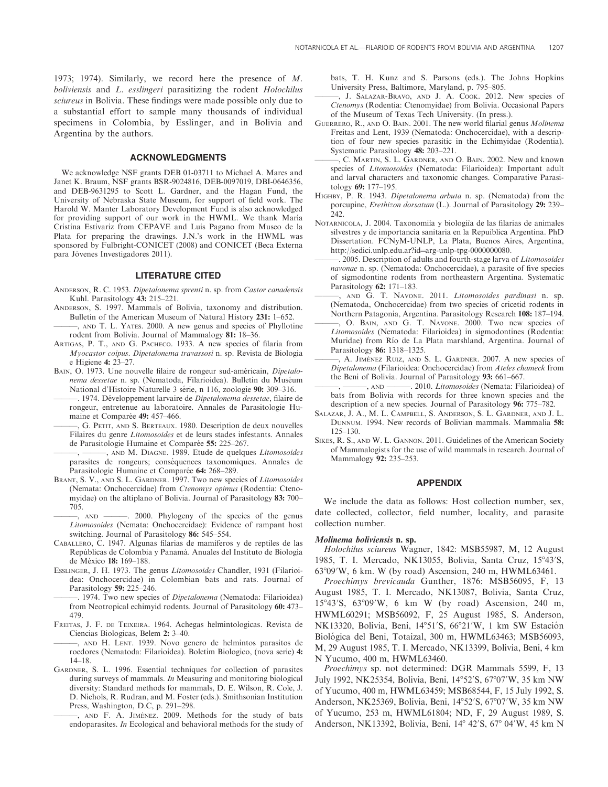1973; 1974). Similarly, we record here the presence of M. boliviensis and L. esslingeri parasitizing the rodent Holochilus sciureus in Bolivia. These findings were made possible only due to a substantial effort to sample many thousands of individual specimens in Colombia, by Esslinger, and in Bolivia and Argentina by the authors.

#### ACKNOWLEDGMENTS

We acknowledge NSF grants DEB 01-03711 to Michael A. Mares and Janet K. Braum, NSF grants BSR-9024816, DEB-0097019, DBI-0646356, and DEB-9631295 to Scott L. Gardner, and the Hagan Fund, the University of Nebraska State Museum, for support of field work. The Harold W. Manter Laboratory Development Fund is also acknowledged for providing support of our work in the HWML. We thank María Cristina Estivariz from CEPAVE and Luis Pagano from Museo de la Plata for preparing the drawings. J.N.'s work in the HWML was sponsored by Fulbright-CONICET (2008) and CONICET (Beca Externa para Jóvenes Investigadores 2011).

#### LITERATURE CITED

- ANDERSON, R. C. 1953. Dipetalonema sprenti n. sp. from Castor canadensis Kuhl. Parasitology 43: 215–221.
- ANDERSON, S. 1997. Mammals of Bolivia, taxonomy and distribution. Bulletin of the American Museum of Natural History 231: 1–652.
- ———, AND T. L. YATES. 2000. A new genus and species of Phyllotine rodent from Bolivia. Journal of Mammalogy 81: 18–36.
- ARTIGAS, P. T., AND G. PACHECO. 1933. A new species of filaria from Myocastor coipus. Dipetalonema travassosi n. sp. Revista de Biologia e Higiene 4: 23–27.
- BAIN, O. 1973. Une nouvelle filaire de rongeur sud-américain, Dipetalonema dessetae n. sp. (Nematoda, Filarioidea). Bulletin du Muséum National d'Histoire Naturelle 3 série, n 116, zoologie 90: 309–316.
- . 1974. Développement larvaire de Dipetalonema dessetae, filaire de rongeur, entretenue au laboratoire. Annales de Parasitologie Humaine et Comparée 49: 457–466.
- G. PETIT, AND S. BERTEAUX. 1980. Description de deux nouvelles Filaires du genre Litomosoides et de leurs stades infestants. Annales de Parasitologie Humaine et Comparée 55: 225–267.

, AND M. DIAGNE. 1989. Etude de quelques Litomosoides parasites de rongeurs; conséquences taxonomiques. Annales de Parasitologie Humaine et Comparée 64: 268–289.

- BRANT, S. V., AND S. L. GARDNER. 1997. Two new species of Litomosoides (Nemata: Onchocercidae) from Ctenomys opimus (Rodentia: Ctenomyidae) on the altiplano of Bolivia. Journal of Parasitology 83: 700– 705.
- ———, AND ———. 2000. Phylogeny of the species of the genus Litomosoides (Nemata: Onchocercidae): Evidence of rampant host switching. Journal of Parasitology 86: 545–554.
- CABALLERO, C. 1947. Algunas filarias de mamıferos y de reptiles de las ´ Repúblicas de Colombia y Panamá. Anuales del Instituto de Biología de México 18: 169-188.
- ESSLINGER, J. H. 1973. The genus Litomosoides Chandler, 1931 (Filarioidea: Onchocercidae) in Colombian bats and rats. Journal of Parasitology 59: 225–246.

. 1974. Two new species of *Dipetalonema* (Nematoda: Filarioidea) from Neotropical echimyid rodents. Journal of Parasitology 60: 473– 479.

FREITAS, J. F. DE TEIXEIRA. 1964. Achegas helmintologicas. Revista de Ciencias Biologicas, Belem 2: 3–40.

———, AND H. LENT. 1939. Novo genero de helmintos parasitos de roedores (Nematoda: Filarioidea). Boletim Biologico, (nova serie) 4: 14–18.

GARDNER, S. L. 1996. Essential techniques for collection of parasites during surveys of mammals. In Measuring and monitoring biological diversity: Standard methods for mammals, D. E. Wilson, R. Cole, J. D. Nichols, R. Rudran, and M. Foster (eds.). Smithsonian Institution Press, Washington, D.C, p. 291–298.

AND F. A. JIMÉNEZ. 2009. Methods for the study of bats endoparasites. In Ecological and behavioral methods for the study of bats, T. H. Kunz and S. Parsons (eds.). The Johns Hopkins University Press, Baltimore, Maryland, p. 795–805.

- ———, J. SALAZAR-BRAVO, AND J. A. COOK. 2012. New species of Ctenomys (Rodentia: Ctenomyidae) from Bolivia. Occasional Papers of the Museum of Texas Tech University. (In press.).
- GUERRERO, R., AND O. BAIN. 2001. The new world filarial genus Molinema Freitas and Lent, 1939 (Nematoda: Onchocercidae), with a description of four new species parasitic in the Echimyidae (Rodentia). Systematic Parasitology 48: 203–221.
- ———, C. MARTIN, S. L. GARDNER, AND O. BAIN. 2002. New and known species of *Litomosoides* (Nematoda: Filarioidea): Important adult and larval characters and taxonomic changes. Comparative Parasitology 69: 177–195.
- HIGHBY, P. R. 1943. Dipetalonema arbuta n. sp. (Nematoda) from the porcupine, Erethizon dorsatum (L.). Journal of Parasitology 29: 239-242.
- NOTARNICOLA, J. 2004. Taxonomiìa y biologiìa de las filarias de animales silvestres y de importancia sanitaria en la Repuıblica Argentina. PhD ` Dissertation. FCNyM-UNLP, La Plata, Buenos Aires, Argentina, http://sedici.unlp.edu.ar?id=arg-unlp-tpg-0000000080.
	- -. 2005. Description of adults and fourth-stage larva of Litomosoides navonae n. sp. (Nematoda: Onchocercidae), a parasite of five species of sigmodontine rodents from northeastern Argentina. Systematic Parasitology 62: 171–183.
- , AND G. T. NAVONE. 2011. Litomosoides pardinasi n. sp. (Nematoda, Onchocercidae) from two species of cricetid rodents in Northern Patagonia, Argentina. Parasitology Research 108: 187–194.
- ———, O. BAIN, AND G. T. NAVONE. 2000. Two new species of Litomosoides (Nematoda: Filarioidea) in sigmodontines (Rodentia: Muridae) from Río de La Plata marshland, Argentina. Journal of Parasitology 86: 1318–1325.
- -, A. JIMÉNEZ RUIZ, AND S. L. GARDNER. 2007. A new species of Dipetalonema (Filarioidea: Onchocercidae) from Ateles chameck from the Beni of Bolivia. Journal of Parasitology 93: 661–667.
- AND ———, 2010. *Litomosoides* (Nemata: Filarioidea) of bats from Bolivia with records for three known species and the description of a new species. Journal of Parasitology 96: 775–782.
- SALAZAR, J. A., M. L. CAMPBELL, S. ANDERSON, S. L. GARDNER, AND J. L. DUNNUM. 1994. New records of Bolivian mammals. Mammalia 58: 125–130.
- SIKES, R. S., AND W. L. GANNON. 2011. Guidelines of the American Society of Mammalogists for the use of wild mammals in research. Journal of Mammalogy 92: 235–253.

#### APPENDIX

We include the data as follows: Host collection number, sex, date collected, collector, field number, locality, and parasite collection number.

#### Molinema boliviensis n. sp.

Holochilus sciureus Wagner, 1842: MSB55987, M, 12 August 1985, T. I. Mercado, NK13055, Bolivia, Santa Cruz, 15°43'S, 63°09′W, 6 km. W (by road) Ascension, 240 m, HWML63461.

Proechimys brevicauda Gunther, 1876: MSB56095, F, 13 August 1985, T. I. Mercado, NK13087, Bolivia, Santa Cruz, 15°43′S, 63°09′W, 6 km W (by road) Ascension, 240 m, HWML60291; MSB56092, F, 25 August 1985, S. Anderson, NK13320, Bolivia, Beni, 14°51′S, 66°21′W, 1 km SW Estación Biológica del Beni, Totaizal, 300 m, HWML63463; MSB56093, M, 29 August 1985, T. I. Mercado, NK13399, Bolivia, Beni, 4 km N Yucumo, 400 m, HWML63460.

Proechimys sp. not determined: DGR Mammals 5599, F, 13 July 1992, NK25354, Bolivia, Beni, 14°52′S, 67°07′W, 35 km NW of Yucumo, 400 m, HWML63459; MSB68544, F, 15 July 1992, S. Anderson, NK25369, Bolivia, Beni, 14°52′S, 67°07′W, 35 km NW of Yucumo, 253 m, HWML61804; ND, F, 29 August 1989, S. Anderson, NK13392, Bolivia, Beni, 14° 42′S, 67° 04′W, 45 km N